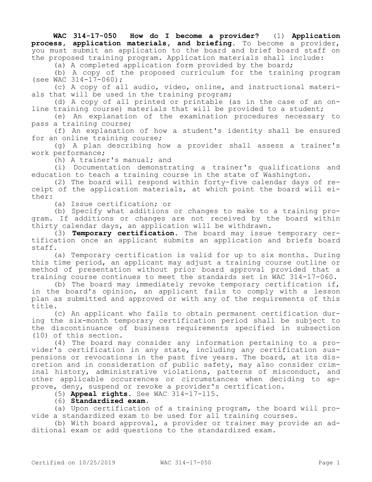**WAC 314-17-050 How do I become a provider?** (1) **Application process, application materials, and briefing.** To become a provider, you must submit an application to the board and brief board staff on the proposed training program. Application materials shall include:

(a) A completed application form provided by the board;

(b) A copy of the proposed curriculum for the training program (see WAC  $314 - 17 - 060$ );

(c) A copy of all audio, video, online, and instructional materials that will be used in the training program;

(d) A copy of all printed or printable (as in the case of an online training course) materials that will be provided to a student;

(e) An explanation of the examination procedures necessary to pass a training course;

(f) An explanation of how a student's identity shall be ensured for an online training course;

(g) A plan describing how a provider shall assess a trainer's work performance;

(h) A trainer's manual; and

(i) Documentation demonstrating a trainer's qualifications and education to teach a training course in the state of Washington.

(2) The board will respond within forty-five calendar days of receipt of the application materials, at which point the board will either:

(a) Issue certification; or

(b) Specify what additions or changes to make to a training program. If additions or changes are not received by the board within thirty calendar days, an application will be withdrawn.

(3) **Temporary certification.** The board may issue temporary certification once an applicant submits an application and briefs board staff.

(a) Temporary certification is valid for up to six months. During this time period, an applicant may adjust a training course outline or method of presentation without prior board approval provided that a training course continues to meet the standards set in WAC 314-17-060.

(b) The board may immediately revoke temporary certification if, in the board's opinion, an applicant fails to comply with a lesson plan as submitted and approved or with any of the requirements of this title.

(c) An applicant who fails to obtain permanent certification during the six-month temporary certification period shall be subject to the discontinuance of business requirements specified in subsection (10) of this section.

(4) The board may consider any information pertaining to a provider's certification in any state, including any certification suspensions or revocations in the past five years. The board, at its discretion and in consideration of public safety, may also consider criminal history, administrative violations, patterns of misconduct, and other applicable occurrences or circumstances when deciding to approve, deny, suspend or revoke a provider's certification.

(5) **Appeal rights.** See WAC 314-17-115.

(6) **Standardized exam.**

(a) Upon certification of a training program, the board will provide a standardized exam to be used for all training courses.

(b) With board approval, a provider or trainer may provide an additional exam or add questions to the standardized exam.